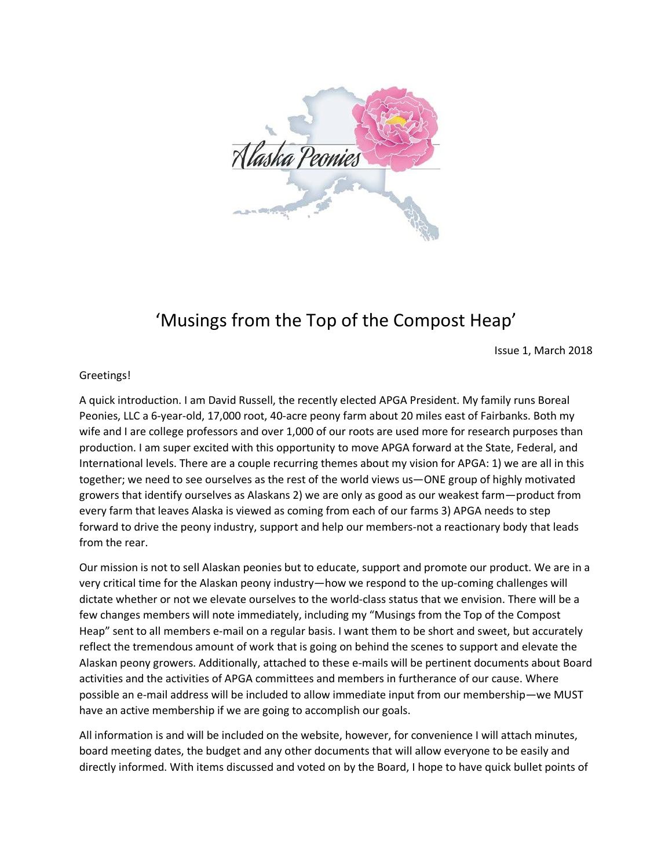

## 'Musings from the Top of the Compost Heap'

Issue 1, March 2018

## Greetings!

A quick introduction. I am David Russell, the recently elected APGA President. My family runs Boreal Peonies, LLC a 6-year-old, 17,000 root, 40-acre peony farm about 20 miles east of Fairbanks. Both my wife and I are college professors and over 1,000 of our roots are used more for research purposes than production. I am super excited with this opportunity to move APGA forward at the State, Federal, and International levels. There are a couple recurring themes about my vision for APGA: 1) we are all in this together; we need to see ourselves as the rest of the world views us—ONE group of highly motivated growers that identify ourselves as Alaskans 2) we are only as good as our weakest farm—product from every farm that leaves Alaska is viewed as coming from each of our farms 3) APGA needs to step forward to drive the peony industry, support and help our members-not a reactionary body that leads from the rear.

Our mission is not to sell Alaskan peonies but to educate, support and promote our product. We are in a very critical time for the Alaskan peony industry—how we respond to the up-coming challenges will dictate whether or not we elevate ourselves to the world-class status that we envision. There will be a few changes members will note immediately, including my "Musings from the Top of the Compost Heap" sent to all members e-mail on a regular basis. I want them to be short and sweet, but accurately reflect the tremendous amount of work that is going on behind the scenes to support and elevate the Alaskan peony growers. Additionally, attached to these e-mails will be pertinent documents about Board activities and the activities of APGA committees and members in furtherance of our cause. Where possible an e-mail address will be included to allow immediate input from our membership—we MUST have an active membership if we are going to accomplish our goals.

All information is and will be included on the website, however, for convenience I will attach minutes, board meeting dates, the budget and any other documents that will allow everyone to be easily and directly informed. With items discussed and voted on by the Board, I hope to have quick bullet points of